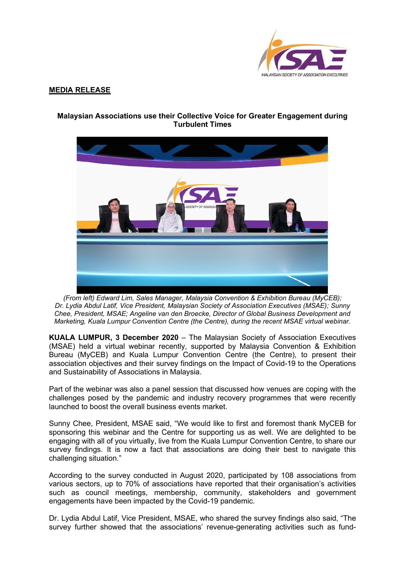

## **MEDIA RELEASE**



# **Malaysian Associations use their Collective Voice for Greater Engagement during Turbulent Times**

*(From left) Edward Lim, Sales Manager, Malaysia Convention & Exhibition Bureau (MyCEB); Dr. Lydia Abdul Latif, Vice President, Malaysian Society of Association Executives (MSAE); Sunny Chee, President, MSAE; Angeline van den Broecke, Director of Global Business Development and Marketing, Kuala Lumpur Convention Centre (the Centre), during the recent MSAE virtual webinar.*

**KUALA LUMPUR, 3 December 2020** – The Malaysian Society of Association Executives (MSAE) held a virtual webinar recently, supported by Malaysia Convention & Exhibition Bureau (MyCEB) and Kuala Lumpur Convention Centre (the Centre), to present their association objectives and their survey findings on the Impact of Covid-19 to the Operations and Sustainability of Associations in Malaysia.

Part of the webinar was also a panel session that discussed how venues are coping with the challenges posed by the pandemic and industry recovery programmes that were recently launched to boost the overall business events market.

Sunny Chee, President, MSAE said, "We would like to first and foremost thank MyCEB for sponsoring this webinar and the Centre for supporting us as well. We are delighted to be engaging with all of you virtually, live from the Kuala Lumpur Convention Centre, to share our survey findings. It is now a fact that associations are doing their best to navigate this challenging situation."

According to the survey conducted in August 2020, participated by 108 associations from various sectors, up to 70% of associations have reported that their organisation's activities such as council meetings, membership, community, stakeholders and government engagements have been impacted by the Covid-19 pandemic.

Dr. Lydia Abdul Latif, Vice President, MSAE, who shared the survey findings also said, "The survey further showed that the associations' revenue-generating activities such as fund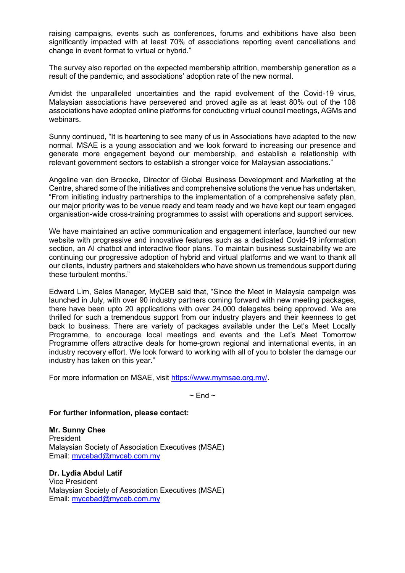raising campaigns, events such as conferences, forums and exhibitions have also been significantly impacted with at least 70% of associations reporting event cancellations and change in event format to virtual or hybrid."

The survey also reported on the expected membership attrition, membership generation as a result of the pandemic, and associations' adoption rate of the new normal.

Amidst the unparalleled uncertainties and the rapid evolvement of the Covid-19 virus, Malaysian associations have persevered and proved agile as at least 80% out of the 108 associations have adopted online platforms for conducting virtual council meetings, AGMs and webinars.

Sunny continued, "It is heartening to see many of us in Associations have adapted to the new normal. MSAE is a young association and we look forward to increasing our presence and generate more engagement beyond our membership, and establish a relationship with relevant government sectors to establish a stronger voice for Malaysian associations."

Angeline van den Broecke, Director of Global Business Development and Marketing at the Centre, shared some of the initiatives and comprehensive solutions the venue has undertaken, "From initiating industry partnerships to the implementation of a comprehensive safety plan, our major priority was to be venue ready and team ready and we have kept our team engaged organisation-wide cross-training programmes to assist with operations and support services.

We have maintained an active communication and engagement interface, launched our new website with progressive and innovative features such as a dedicated Covid-19 information section, an AI chatbot and interactive floor plans. To maintain business sustainability we are continuing our progressive adoption of hybrid and virtual platforms and we want to thank all our clients, industry partners and stakeholders who have shown us tremendous support during these turbulent months."

Edward Lim, Sales Manager, MyCEB said that, "Since the Meet in Malaysia campaign was launched in July, with over 90 industry partners coming forward with new meeting packages, there have been upto 20 applications with over 24,000 delegates being approved. We are thrilled for such a tremendous support from our industry players and their keenness to get back to business. There are variety of packages available under the Let's Meet Locally Programme, to encourage local meetings and events and the Let's Meet Tomorrow Programme offers attractive deals for home-grown regional and international events, in an industry recovery effort. We look forward to working with all of you to bolster the damage our industry has taken on this year."

For more information on MSAE, visit [https://www.mymsae.org.my/.](https://www.mymsae.org.my/)

 $\sim$  End  $\sim$ 

## **For further information, please contact:**

**Mr. Sunny Chee** President Malaysian Society of Association Executives (MSAE) Email: [mycebad@myceb.com.my](mailto:mycebad@myceb.com.my)

**Dr. Lydia Abdul Latif** Vice President Malaysian Society of Association Executives (MSAE) Email: [mycebad@myceb.com.my](mailto:mycebad@myceb.com.my)